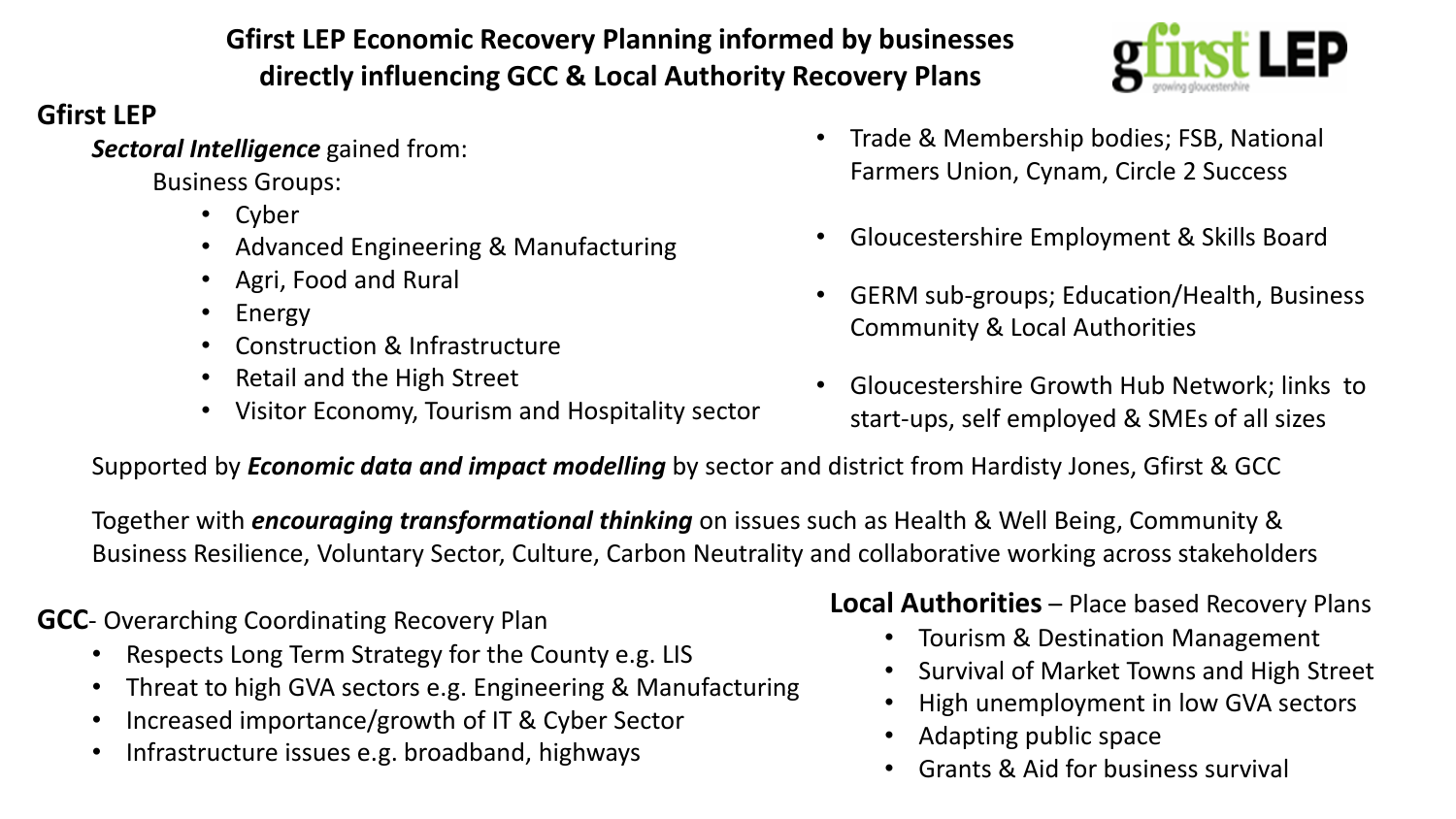# **Gfirst LEP Economic Recovery Planning informed by businesses directly influencing GCC & Local Authority Recovery Plans**

# **Gfirst LEP**

*Sectoral Intelligence* gained from:

Business Groups:

- Cyber
- Advanced Engineering & Manufacturing
- Agri, Food and Rural
- Energy
- Construction & Infrastructure
- Retail and the High Street
- Visitor Economy, Tourism and Hospitality sector
- Trade & Membership bodies; FSB, National Farmers Union, Cynam, Circle 2 Success
- Gloucestershire Employment & Skills Board
- GERM sub-groups; Education/Health, Business Community & Local Authorities
- Gloucestershire Growth Hub Network; links to start-ups, self employed & SMEs of all sizes

Supported by *Economic data and impact modelling* by sector and district from Hardisty Jones, Gfirst & GCC

Together with *encouraging transformational thinking* on issues such as Health & Well Being, Community & Business Resilience, Voluntary Sector, Culture, Carbon Neutrality and collaborative working across stakeholders

**GCC**- Overarching Coordinating Recovery Plan

- Respects Long Term Strategy for the County e.g. LIS
- Threat to high GVA sectors e.g. Engineering & Manufacturing
- Increased importance/growth of IT & Cyber Sector
- Infrastructure issues e.g. broadband, highways

# **Local Authorities** – Place based Recovery Plans

- Tourism & Destination Management
- Survival of Market Towns and High Street
- High unemployment in low GVA sectors
- Adapting public space
- Grants & Aid for business survival

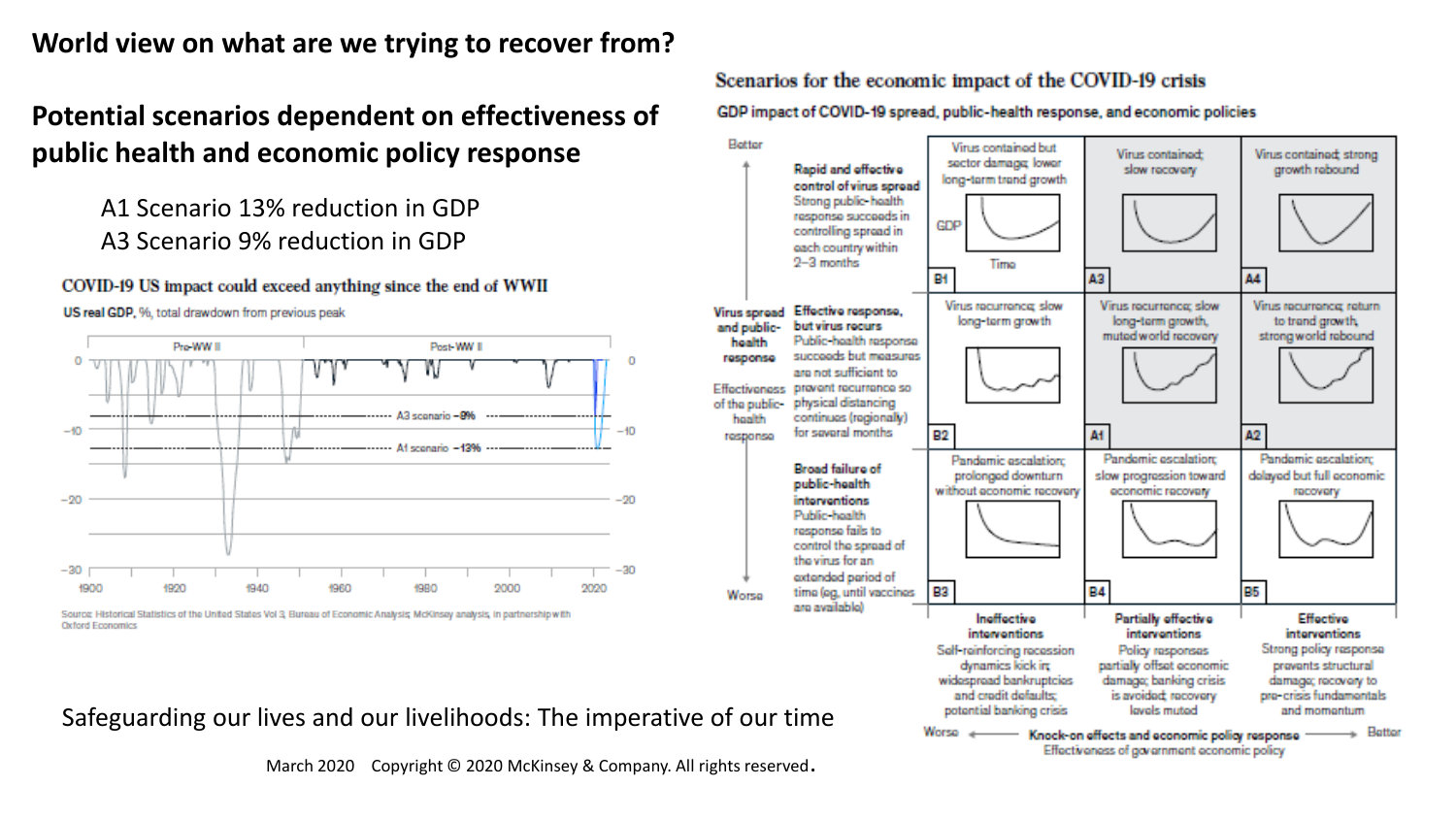# **World view on what are we trying to recover from?**

# **Potential scenarios dependent on effectiveness of public health and economic policy response**

# A1 Scenario 13% reduction in GDP A3 Scenario 9% reduction in GDP

#### COVID-19 US impact could exceed anything since the end of WWII



US real GDP, %, total drawdown from previous peak

Scenarios for the economic impact of the COVID-19 crisis

GDP impact of COVID-19 spread, public-health response, and economic policies



March 2020 Copyright © 2020 McKinsey & Company. All rights reserved.

 $\Omega$ 

Source: Historical Statistics of the United States Vol 3, Bureau of Economic Analysis, McKinsey analysis, in partnership with **Oxford Economics**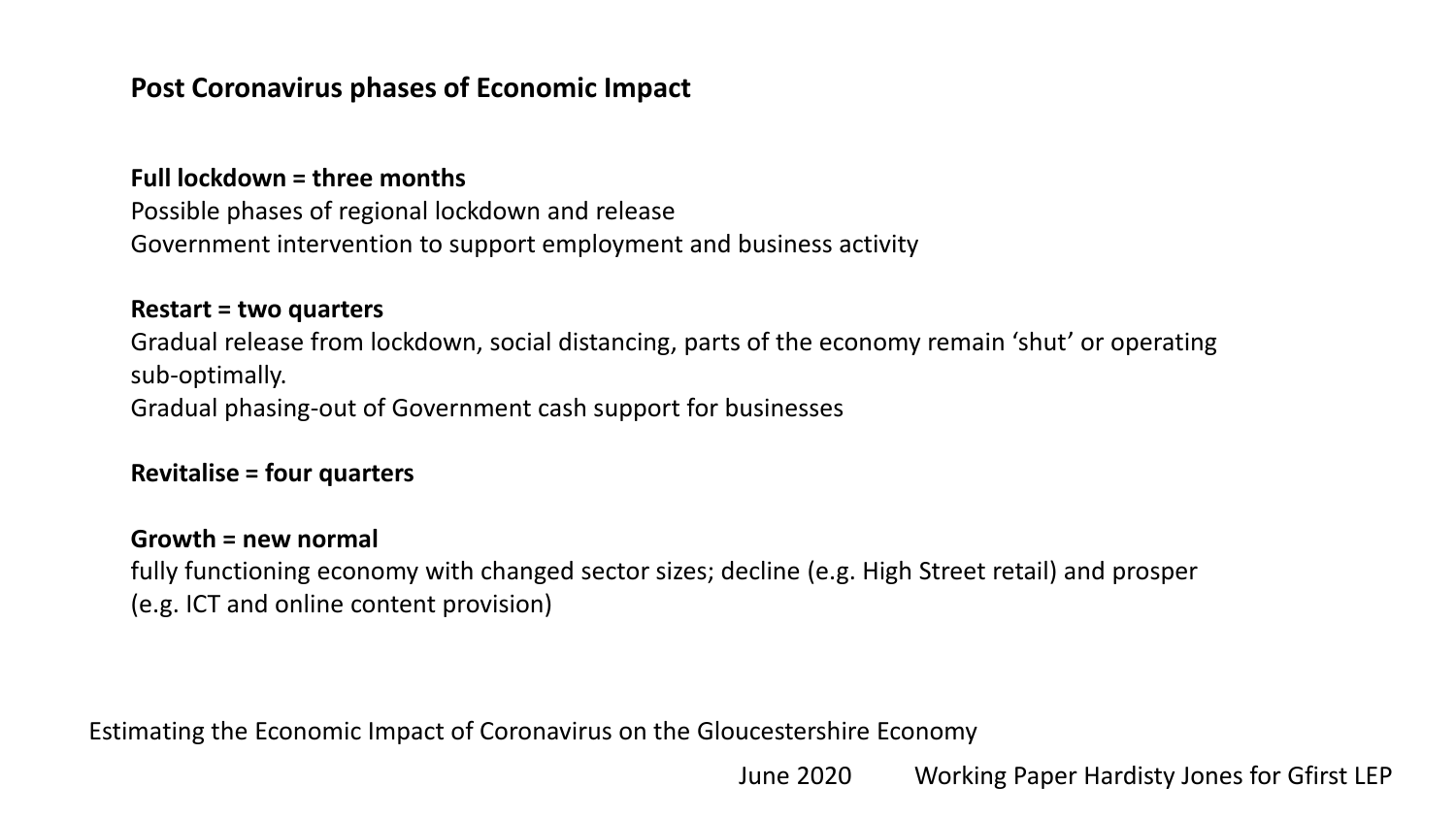# **Post Coronavirus phases of Economic Impact**

### **Full lockdown = three months**

Possible phases of regional lockdown and release Government intervention to support employment and business activity

### **Restart = two quarters**

Gradual release from lockdown, social distancing, parts of the economy remain 'shut' or operating sub-optimally. Gradual phasing-out of Government cash support for businesses

### **Revitalise = four quarters**

### **Growth = new normal**

fully functioning economy with changed sector sizes; decline (e.g. High Street retail) and prosper (e.g. ICT and online content provision)

Estimating the Economic Impact of Coronavirus on the Gloucestershire Economy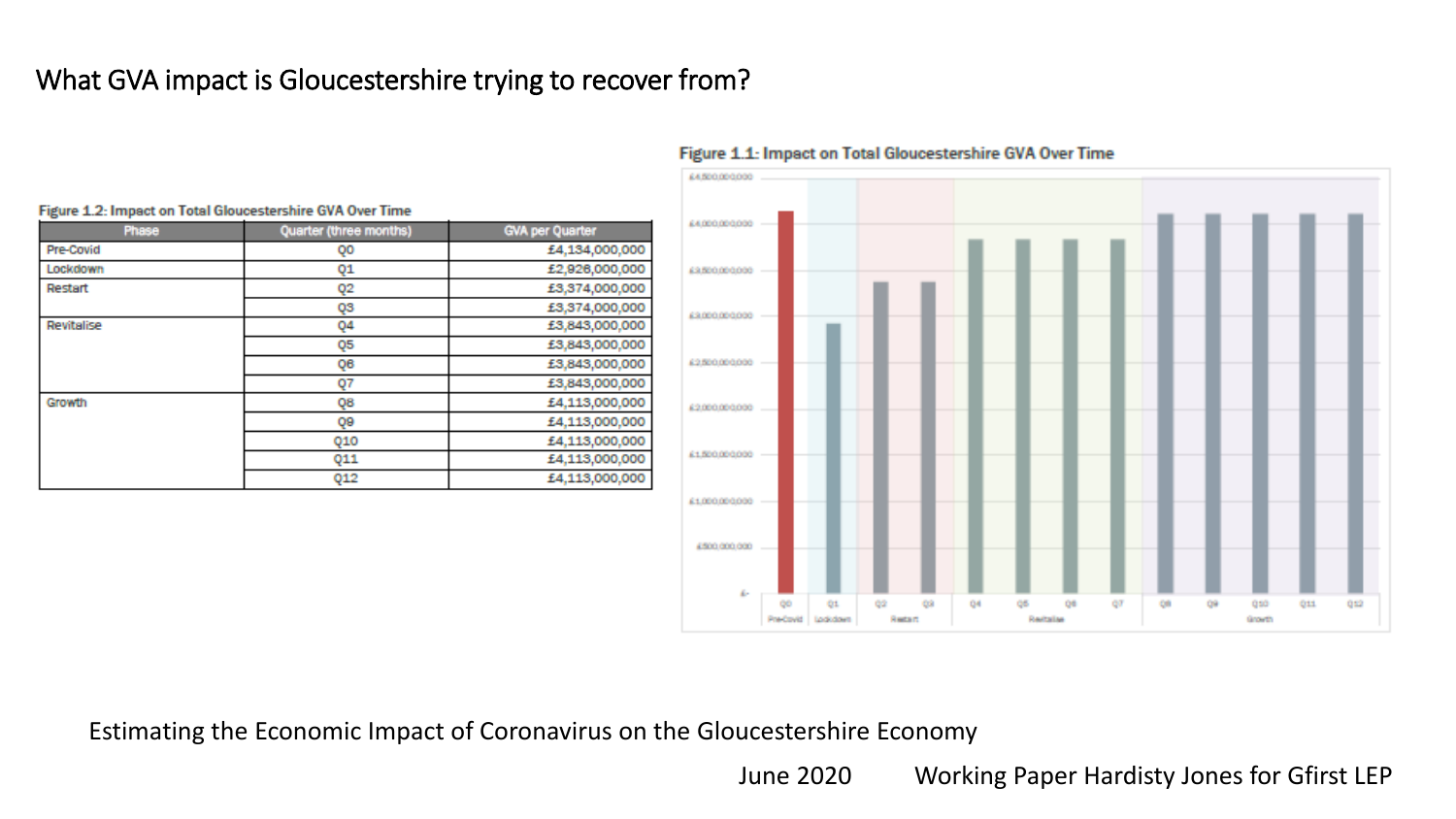# What GVA impact is Gloucestershire trying to recover from?



#### 64500,000,000 64000,000,000 63500.000000 63000.000000 62500,000,000 62000000000 61500.000000 61.000.000.000 4,500,000,000 ÷. 98  $Q1$ 69 04 05 08 Q9 CO qso 011 0.12 -92 **CO** Resitative Grovity Pre-Covici Lockdown Restart

#### Figure 1.1: Impact on Total Gloucestershire GVA Over Time

Estimating the Economic Impact of Coronavirus on the Gloucestershire Economy

June 2020 Working Paper Hardisty Jones for Gfirst LEP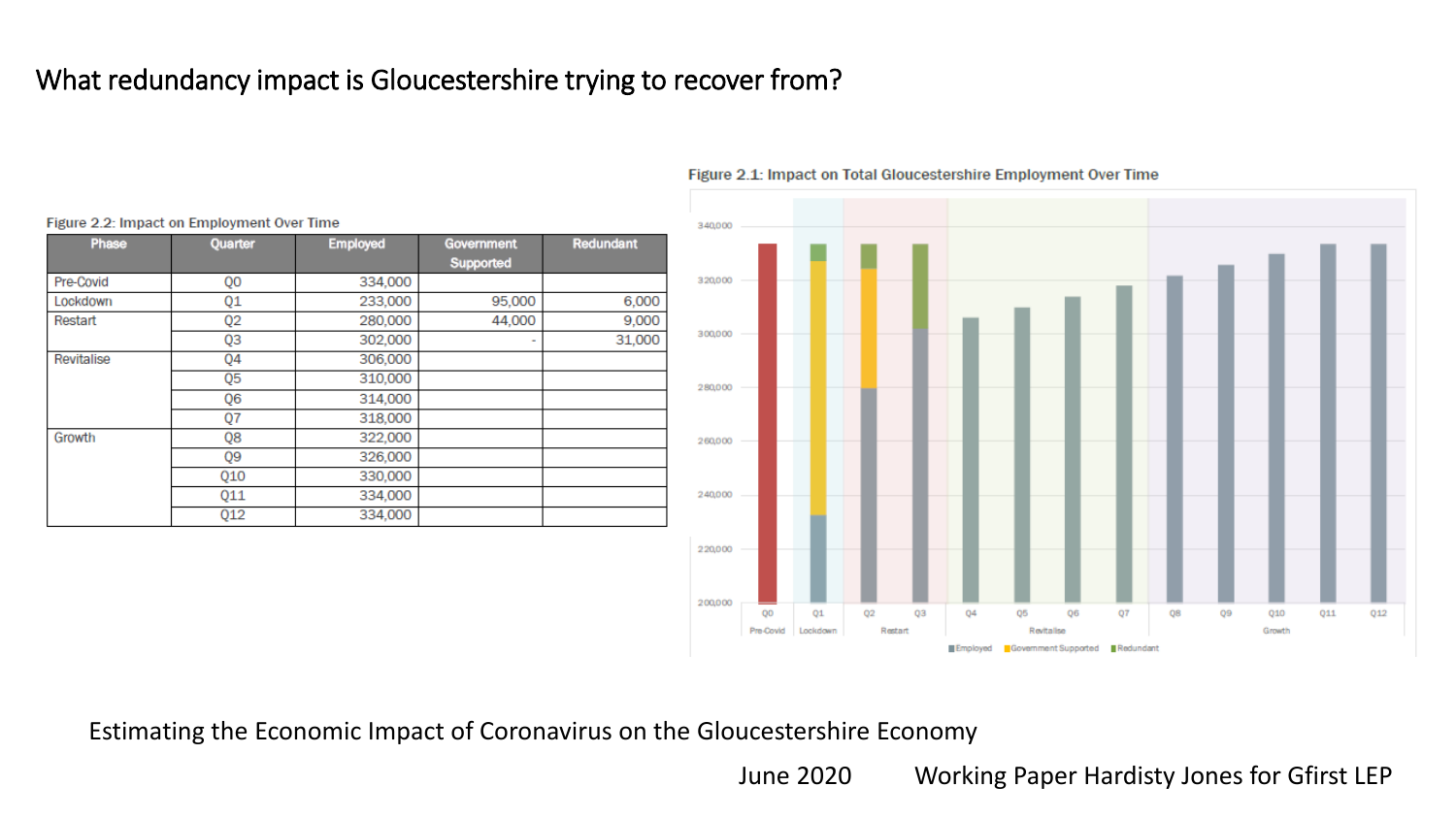# What redundancy impact is Gloucestershire trying to recover from?

| Phase      | Quarter        | <b>Employed</b> | Government<br>Supported | Redundant |
|------------|----------------|-----------------|-------------------------|-----------|
| Pre-Covid  | Q0             | 334,000         |                         |           |
| Lockdown   | Q1             | 233,000         | 95,000                  | 6,000     |
| Restart    | Q <sub>2</sub> | 280,000         | 44,000                  | 9,000     |
|            | QЗ             | 302,000         | ٠                       | 31,000    |
| Revitalise | Q4             | 306,000         |                         |           |
|            | Q <sub>5</sub> | 310,000         |                         |           |
|            | Q6             | 314,000         |                         |           |
|            | Q7             | 318,000         |                         |           |
| Growth     | Q8             | 322,000         |                         |           |
|            | 09             | 326,000         |                         |           |
|            | Q10            | 330,000         |                         |           |
|            | Q11            | 334,000         |                         |           |
|            | Q12            | 334,000         |                         |           |

Figure 2.2: Impact on Employment Over Time

Figure 2.1: Impact on Total Gloucestershire Employment Over Time



Estimating the Economic Impact of Coronavirus on the Gloucestershire Economy

June 2020 Working Paper Hardisty Jones for Gfirst LEP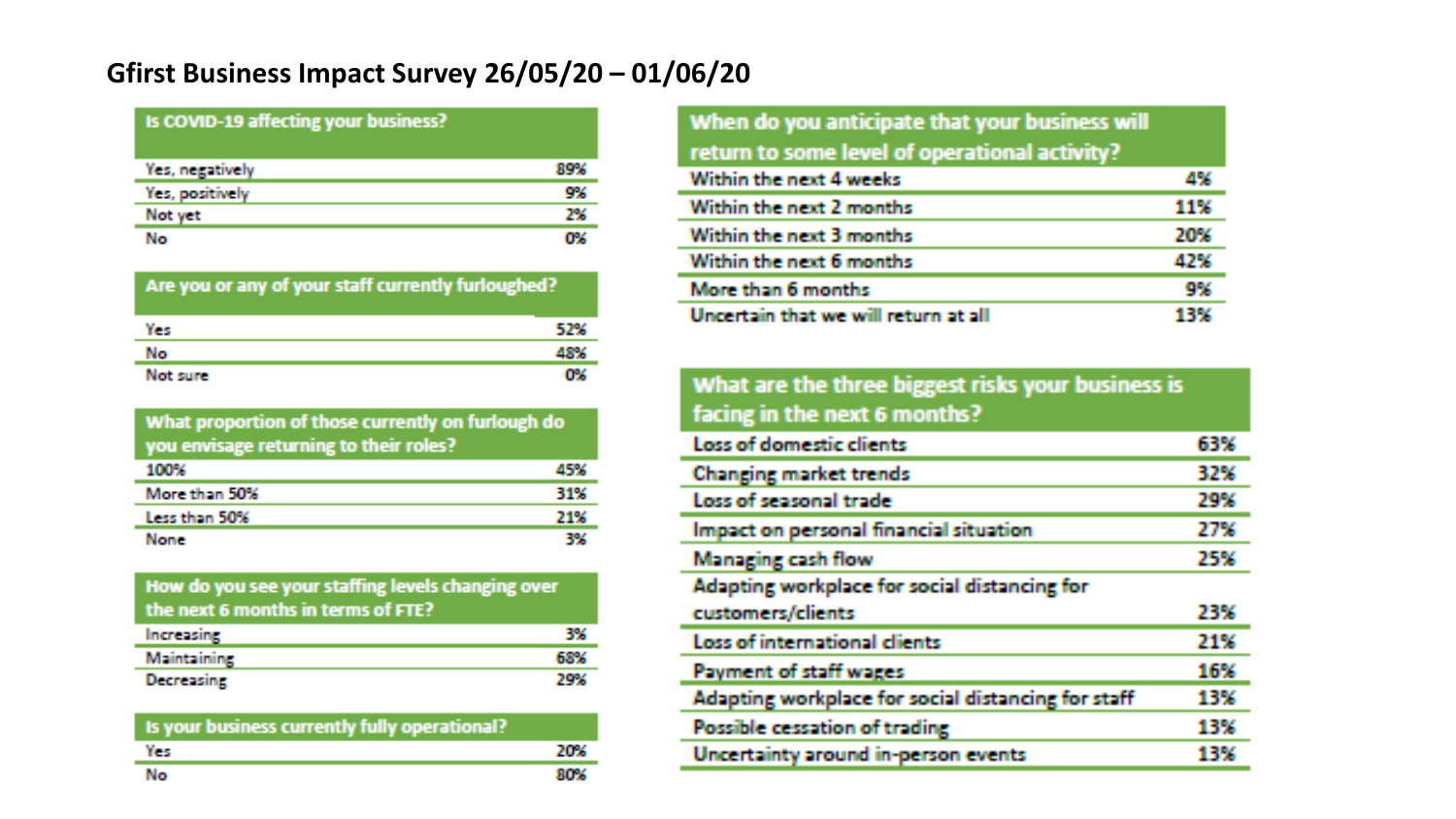# **Gfirst Business Impact Survey 26/05/20 – 01/06/20**

### Is COVID-19 affecting your business?

| Yes, negatively | жик |
|-----------------|-----|
| Yes, positively | 9%  |
| Not yet         | 2%  |
| No              | rv. |

#### Are you or any of your staff currently furloughed?

| Yes      |          |
|----------|----------|
| No       | an taona |
| Not sure |          |

#### What proportion of those currently on furlough do you envisage returning to their roles?

| 100%          | 45% |
|---------------|-----|
| More than 50% | 31% |
| Less than 50% | 71W |
| None:         | -1% |

### How do you see your staffing levels changing over the next 6 months in terms of FTE?

| <b>Increasing</b>  |  |
|--------------------|--|
| <b>Maintaining</b> |  |
| <b>Decreasing</b>  |  |

| Is your business currently fully operational? |            |
|-----------------------------------------------|------------|
| Yes                                           | 20%        |
| No                                            | <b>NOW</b> |

| When do you anticipate that your business will |     |
|------------------------------------------------|-----|
| return to some level of operational activity?  |     |
| Within the next 4 weeks                        | 4%  |
| Within the next 2 months                       | 11% |
| Within the next 3 months                       | 20% |
| Within the next 6 months                       | 47% |
| More than 6 months                             | 9%  |
| Uncertain that we will return at all           |     |

#### What are the three biggest risks your business is facing in the next 6 months? Loss of domestic clients 63% **Changing market trends** 32% Loss of seasonal trade 29% Impact on personal financial situation 27% **Managing cash flow** 25% Adapting workplace for social distancing for customers/clients 23% Loss of international dients 21% Payment of staff wages 16% Adapting workplace for social distancing for staff 13% Possible cessation of trading 13% Uncertainty around in-person events 13%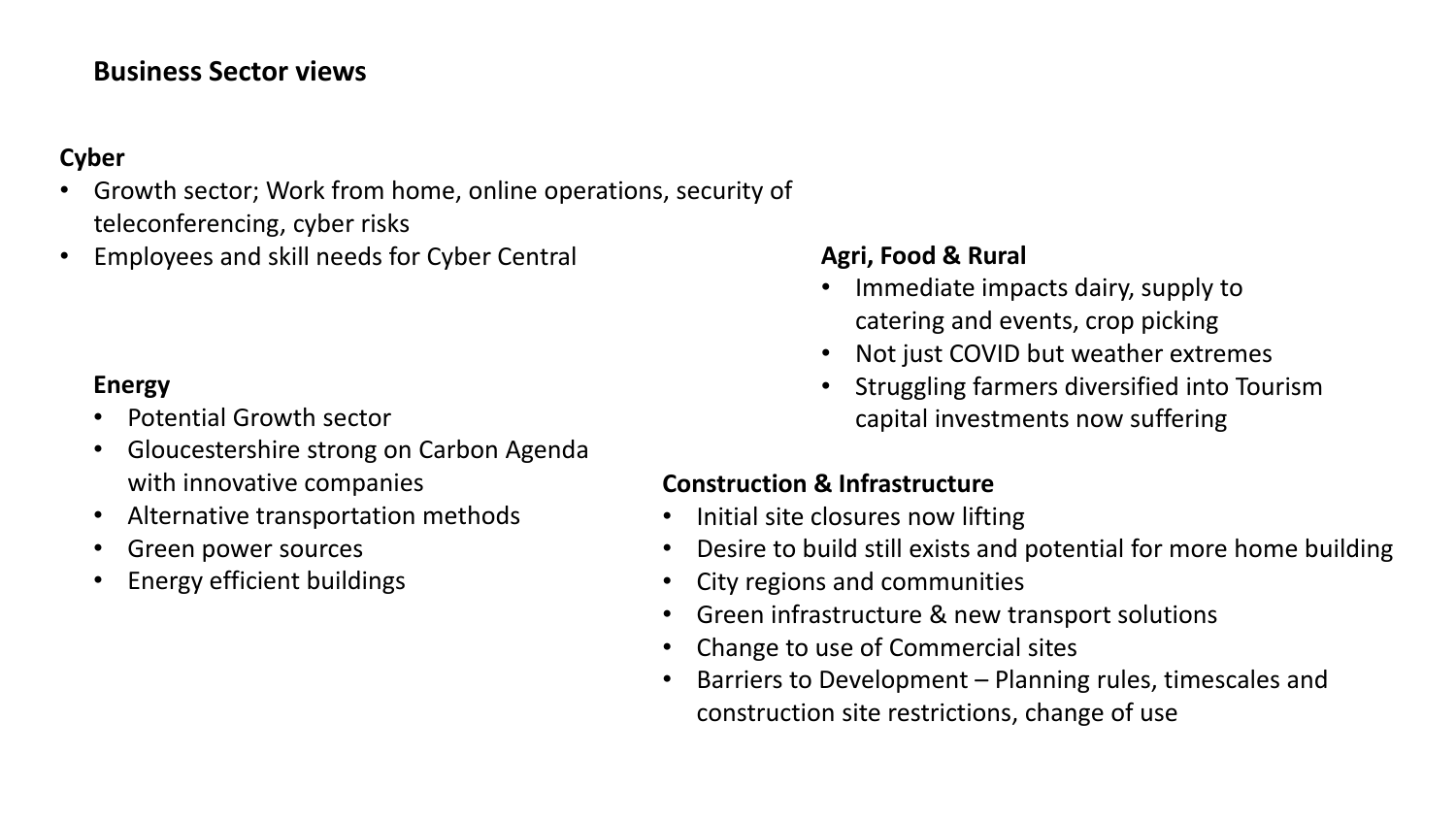# **Business Sector views**

# **Cyber**

- Growth sector; Work from home, online operations, security of teleconferencing, cyber risks
- **Employees and skill needs for Cyber Central <b>Agri, Food & Rural**

# **Energy**

- Potential Growth sector
- Gloucestershire strong on Carbon Agenda with innovative companies
- Alternative transportation methods
- Green power sources
- Energy efficient buildings

- Immediate impacts dairy, supply to catering and events, crop picking
- Not just COVID but weather extremes
- Struggling farmers diversified into Tourism capital investments now suffering

# **Construction & Infrastructure**

- Initial site closures now lifting
- Desire to build still exists and potential for more home building
- City regions and communities
- Green infrastructure & new transport solutions
- Change to use of Commercial sites
- Barriers to Development Planning rules, timescales and construction site restrictions, change of use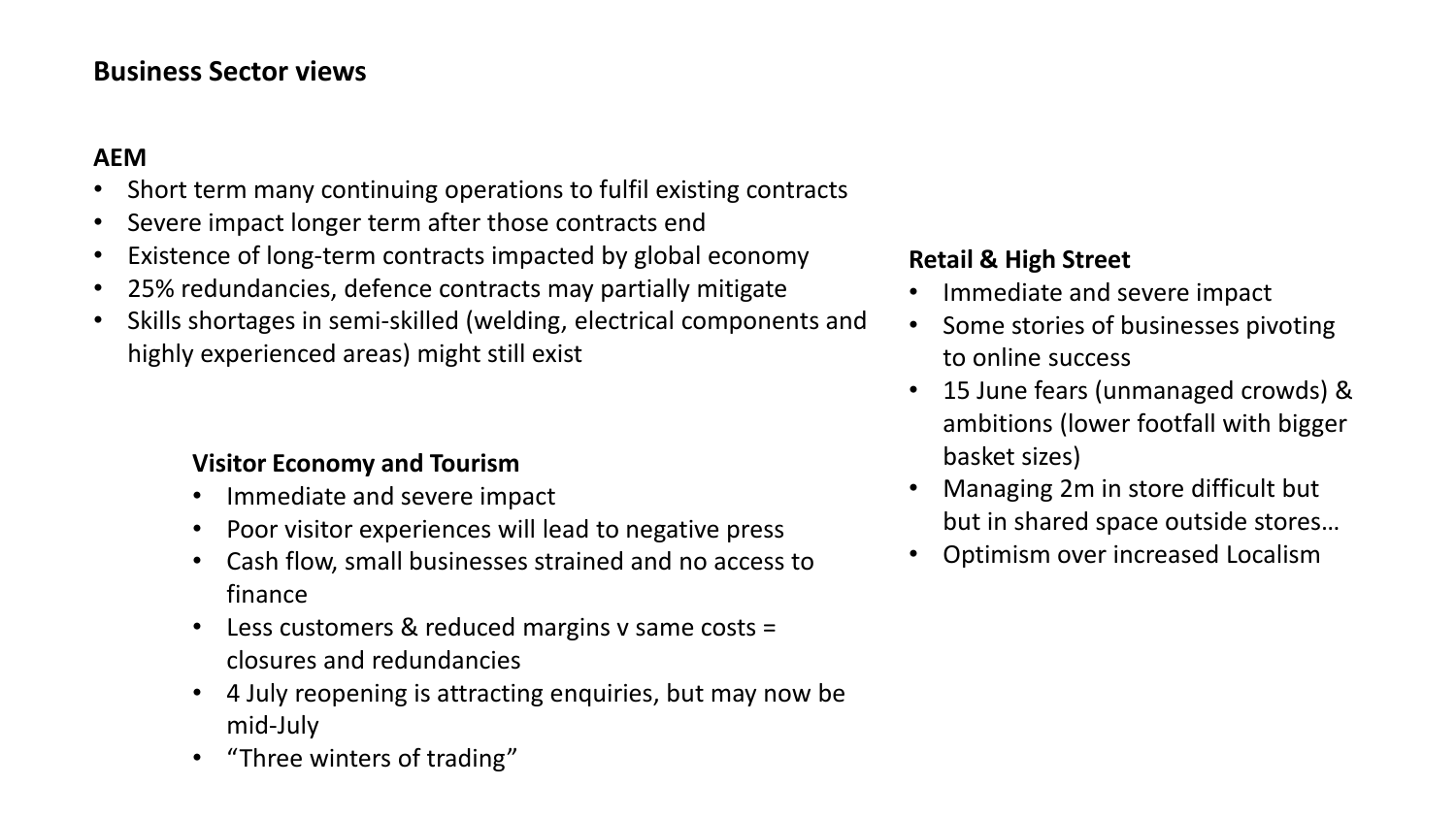# **Business Sector views**

### **AEM**

- Short term many continuing operations to fulfil existing contracts
- Severe impact longer term after those contracts end
- Existence of long-term contracts impacted by global economy
- 25% redundancies, defence contracts may partially mitigate
- Skills shortages in semi-skilled (welding, electrical components and highly experienced areas) might still exist

### **Visitor Economy and Tourism**

- Immediate and severe impact
- Poor visitor experiences will lead to negative press
- Cash flow, small businesses strained and no access to finance
- Less customers & reduced margins v same costs = closures and redundancies
- 4 July reopening is attracting enquiries, but may now be mid-July
- "Three winters of trading"

## **Retail & High Street**

- Immediate and severe impact
- Some stories of businesses pivoting to online success
- 15 June fears (unmanaged crowds) & ambitions (lower footfall with bigger basket sizes)
- Managing 2m in store difficult but but in shared space outside stores…
- Optimism over increased Localism